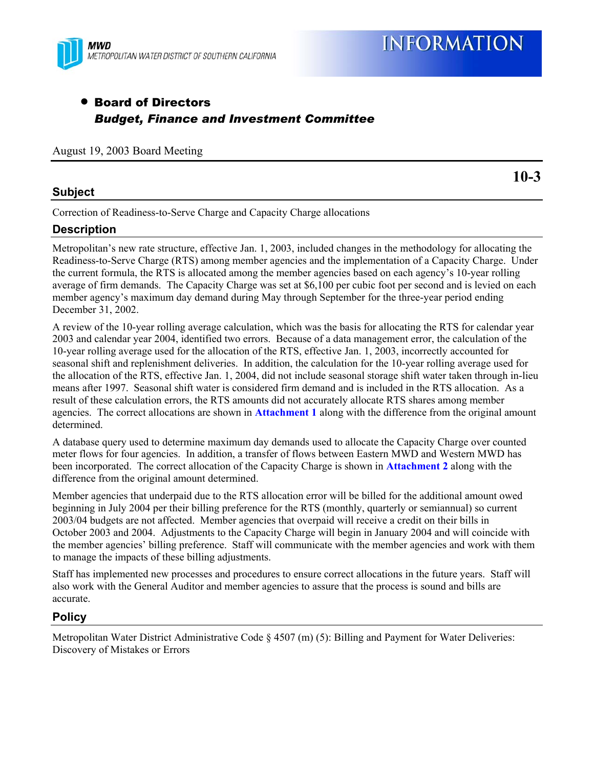

# • Board of Directors *Budget, Finance and Investment Committee*

August 19, 2003 Board Meeting

#### **Subject**

**10-3** 

Correction of Readiness-to-Serve Charge and Capacity Charge allocations

## **Description**

Metropolitan's new rate structure, effective Jan. 1, 2003, included changes in the methodology for allocating the Readiness-to-Serve Charge (RTS) among member agencies and the implementation of a Capacity Charge. Under the current formula, the RTS is allocated among the member agencies based on each agency's 10-year rolling average of firm demands. The Capacity Charge was set at \$6,100 per cubic foot per second and is levied on each member agency's maximum day demand during May through September for the three-year period ending December 31, 2002.

A review of the 10-year rolling average calculation, which was the basis for allocating the RTS for calendar year 2003 and calendar year 2004, identified two errors. Because of a data management error, the calculation of the 10-year rolling average used for the allocation of the RTS, effective Jan. 1, 2003, incorrectly accounted for seasonal shift and replenishment deliveries. In addition, the calculation for the 10-year rolling average used for the allocation of the RTS, effective Jan. 1, 2004, did not include seasonal storage shift water taken through in-lieu means after 1997. Seasonal shift water is considered firm demand and is included in the RTS allocation. As a result of these calculation errors, the RTS amounts did not accurately allocate RTS shares among member agencies. The correct allocations are shown in **Attachment 1** along with the difference from the original amount determined.

A database query used to determine maximum day demands used to allocate the Capacity Charge over counted meter flows for four agencies. In addition, a transfer of flows between Eastern MWD and Western MWD has been incorporated. The correct allocation of the Capacity Charge is shown in **Attachment 2** along with the difference from the original amount determined.

Member agencies that underpaid due to the RTS allocation error will be billed for the additional amount owed beginning in July 2004 per their billing preference for the RTS (monthly, quarterly or semiannual) so current 2003/04 budgets are not affected. Member agencies that overpaid will receive a credit on their bills in October 2003 and 2004. Adjustments to the Capacity Charge will begin in January 2004 and will coincide with the member agencies' billing preference. Staff will communicate with the member agencies and work with them to manage the impacts of these billing adjustments.

Staff has implemented new processes and procedures to ensure correct allocations in the future years. Staff will also work with the General Auditor and member agencies to assure that the process is sound and bills are accurate.

## **Policy**

Metropolitan Water District Administrative Code § 4507 (m) (5): Billing and Payment for Water Deliveries: Discovery of Mistakes or Errors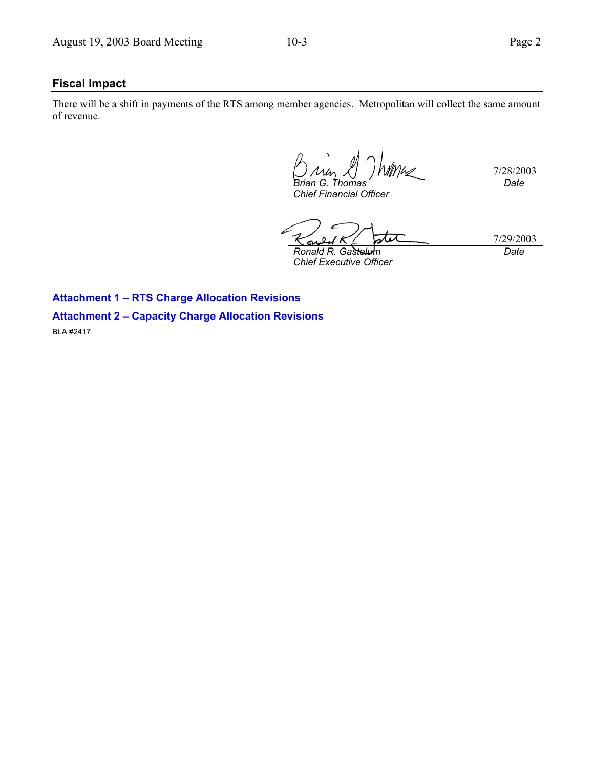#### **Fiscal Impact**

There will be a shift in payments of the RTS among member agencies. Metropolitan will collect the same amount of revenue.

7/28/2003 *Brian G. Thomas Chief Financial Officer Date* 

7/29/2003 ົ *Ronald R. Gastelum* 

*Chief Executive Officer* 

*Date* 

**Attachment 1 – RTS Charge Allocation Revisions Attachment 2 – Capacity Charge Allocation Revisions**  BLA #2417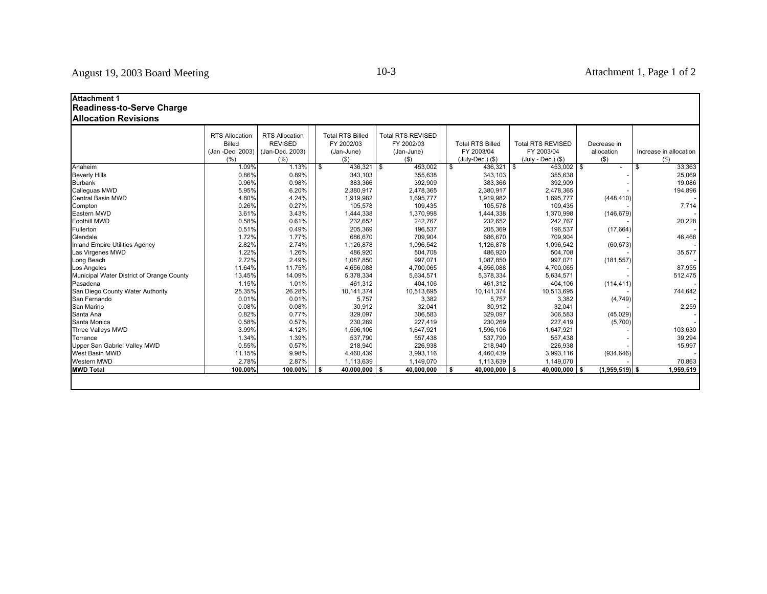| <b>Attachment 1</b><br>Readiness-to-Serve Charge |                       |                       |      |                         |                          |                         |                          |                  |    |                        |
|--------------------------------------------------|-----------------------|-----------------------|------|-------------------------|--------------------------|-------------------------|--------------------------|------------------|----|------------------------|
| <b>Allocation Revisions</b>                      |                       |                       |      |                         |                          |                         |                          |                  |    |                        |
|                                                  | <b>RTS Allocation</b> | <b>RTS Allocation</b> |      | <b>Total RTS Billed</b> | <b>Total RTS REVISED</b> |                         |                          |                  |    |                        |
|                                                  | <b>Billed</b>         | <b>REVISED</b>        |      | FY 2002/03              | FY 2002/03               | <b>Total RTS Billed</b> | <b>Total RTS REVISED</b> | Decrease in      |    |                        |
|                                                  | (Jan -Dec. 2003)      | (Jan-Dec. 2003)       |      | (Jan-June)              | (Jan-June)               | FY 2003/04              | FY 2003/04               | allocation       |    | Increase in allocation |
|                                                  | (% )                  | (% )                  |      | $($ \$)                 | $($ \$)                  | (July-Dec.) (\$)        | (July - Dec.) (\$)       | $($ \$)          |    | $($ \$                 |
| Anaheim                                          | 1.09%                 | 1.13%                 | - \$ | $436,321$ \$            | 453,002                  | $436,321$ \$            | $453,002$ \$             |                  | -S | 33,363                 |
| <b>Beverly Hills</b>                             | 0.86%                 | 0.89%                 |      | 343,103                 | 355,638                  | 343,103                 | 355,638                  |                  |    | 25,069                 |
| <b>Burbank</b>                                   | 0.96%                 | 0.98%                 |      | 383,366                 | 392,909                  | 383,366                 | 392,909                  |                  |    | 19,086                 |
| Calleguas MWD                                    | 5.95%                 | 6.20%                 |      | 2,380,917               | 2,478,365                | 2,380,917               | 2,478,365                |                  |    | 194,896                |
| <b>Central Basin MWD</b>                         | 4.80%                 | 4.24%                 |      | 1,919,982               | 1,695,777                | 1,919,982               | 1,695,777                | (448, 410)       |    |                        |
| Compton                                          | 0.26%                 | 0.27%                 |      | 105,578                 | 109,435                  | 105,578                 | 109,435                  |                  |    | 7,714                  |
| Eastern MWD                                      | 3.61%                 | 3.43%                 |      | 1,444,338               | 1,370,998                | 1,444,338               | 1,370,998                | (146, 679)       |    |                        |
| Foothill MWD                                     | 0.58%                 | 0.61%                 |      | 232,652                 | 242,767                  | 232,652                 | 242,767                  |                  |    | 20,228                 |
| Fullerton                                        | 0.51%                 | 0.49%                 |      | 205,369                 | 196,537                  | 205,369                 | 196,537                  | (17, 664)        |    |                        |
| Glendale                                         | 1.72%                 | 1.77%                 |      | 686,670                 | 709,904                  | 686,670                 | 709,904                  |                  |    | 46,468                 |
| <b>Inland Empire Utilities Agency</b>            | 2.82%                 | 2.74%                 |      | 1,126,878               | 1,096,542                | 1,126,878               | 1,096,542                | (60, 673)        |    |                        |
| Las Virgenes MWD                                 | 1.22%                 | 1.26%                 |      | 486,920                 | 504,708                  | 486,920                 | 504,708                  |                  |    | 35,577                 |
| Long Beach                                       | 2.72%                 | 2.49%                 |      | 1,087,850               | 997,071                  | 1,087,850               | 997,071                  | (181, 557)       |    |                        |
| Los Angeles                                      | 11.64%                | 11.75%                |      | 4,656,088               | 4,700,065                | 4,656,088               | 4,700,065                |                  |    | 87,955                 |
| Municipal Water District of Orange County        | 13.45%                | 14.09%                |      | 5,378,334               | 5,634,571                | 5,378,334               | 5,634,571                |                  |    | 512,475                |
| Pasadena                                         | 1.15%                 | 1.01%                 |      | 461.312                 | 404.106                  | 461.312                 | 404.106                  | (114, 411)       |    |                        |
| San Diego County Water Authority                 | 25.35%                | 26.28%                |      | 10,141,374              | 10,513,695               | 10,141,374              | 10,513,695               |                  |    | 744,642                |
| San Fernando                                     | 0.01%                 | 0.01%                 |      | 5,757                   | 3,382                    | 5,757                   | 3,382                    | (4, 749)         |    |                        |
| San Marino                                       | 0.08%                 | 0.08%                 |      | 30,912                  | 32,041                   | 30,912                  | 32,041                   |                  |    | 2,259                  |
| Santa Ana                                        | 0.82%                 | 0.77%                 |      | 329,097                 | 306,583                  | 329,097                 | 306,583                  | (45, 029)        |    |                        |
| Santa Monica                                     | 0.58%                 | 0.57%                 |      | 230,269                 | 227,419                  | 230,269                 | 227,419                  | (5,700)          |    |                        |
| Three Valleys MWD                                | 3.99%                 | 4.12%                 |      | 1,596,106               | 1,647,921                | 1,596,106               | 1,647,921                |                  |    | 103,630                |
| Torrance                                         | 1.34%                 | 1.39%                 |      | 537,790                 | 557,438                  | 537,790                 | 557,438                  |                  |    | 39,294                 |
| Upper San Gabriel Valley MWD                     | 0.55%                 | 0.57%                 |      | 218,940                 | 226,938                  | 218,940                 | 226,938                  |                  |    | 15,997                 |
| West Basin MWD                                   | 11.15%                | 9.98%                 |      | 4,460,439               | 3,993,116                | 4,460,439               | 3,993,116                | (934, 646)       |    |                        |
| Western MWD                                      | 2.78%                 | 2.87%                 |      | 1,113,639               | 1,149,070                | 1,113,639               | 1,149,070                |                  |    | 70,863                 |
| <b>MWD Total</b>                                 | 100.00%               | 100.00%               | l S  | $40,000,000$ \$         | 40,000,000               | $40,000,000$ \$<br>-S   | $40,000,000$ \$          | $(1,959,519)$ \$ |    | 1,959,519              |
|                                                  |                       |                       |      |                         |                          |                         |                          |                  |    |                        |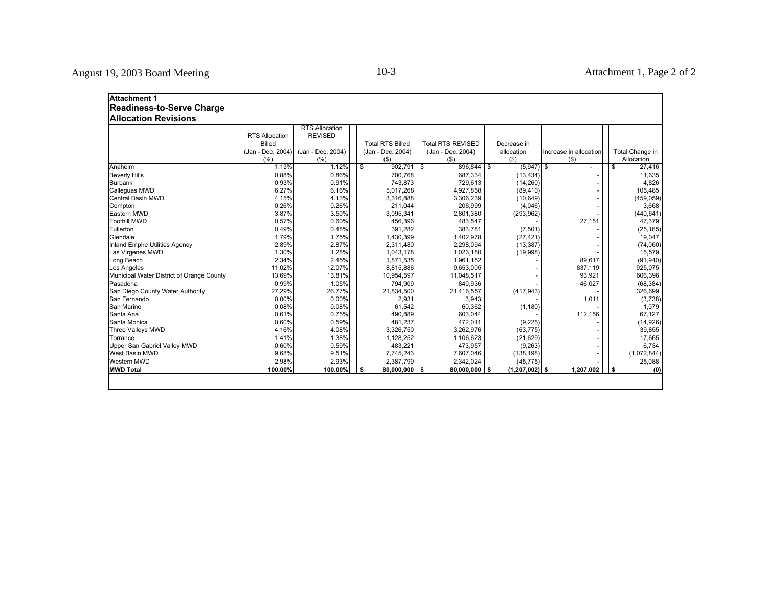| <b>Attachment 1</b>                       |                       |                       |    |                         |            |                          |                    |                        |     |                 |
|-------------------------------------------|-----------------------|-----------------------|----|-------------------------|------------|--------------------------|--------------------|------------------------|-----|-----------------|
| <b>Readiness-to-Serve Charge</b>          |                       |                       |    |                         |            |                          |                    |                        |     |                 |
| <b>Allocation Revisions</b>               |                       |                       |    |                         |            |                          |                    |                        |     |                 |
|                                           |                       | <b>RTS Allocation</b> |    |                         |            |                          |                    |                        |     |                 |
|                                           | <b>RTS Allocation</b> | <b>REVISED</b>        |    |                         |            |                          |                    |                        |     |                 |
|                                           | <b>Billed</b>         |                       |    | <b>Total RTS Billed</b> |            | <b>Total RTS REVISED</b> | Decrease in        |                        |     |                 |
|                                           | (Jan - Dec. 2004)     | (Jan - Dec. 2004)     |    | (Jan - Dec. 2004)       |            | (Jan - Dec. 2004)        | allocation         | Increase in allocation |     | Total Change in |
|                                           | (%)                   | (%)                   |    | $($ \$)                 |            | $($ \$)                  | (3)                | $($ \$                 |     | Allocation      |
| Anaheim                                   | 1.13%                 | 1.12%                 | \$ | 902.791                 | $\sqrt{3}$ | 896.844 \$               | $(5,947)$ \$       |                        | Ŝ.  | 27,416          |
| <b>Beverly Hills</b>                      | 0.88%                 | 0.86%                 |    | 700,768                 |            | 687,334                  | (13, 434)          |                        |     | 11,635          |
| <b>Burbank</b>                            | 0.93%                 | 0.91%                 |    | 743,873                 |            | 729,613                  | (14, 260)          |                        |     | 4,826           |
| Calleguas MWD                             | 6.27%                 | 6.16%                 |    | 5,017,268               |            | 4,927,858                | (89, 410)          |                        |     | 105,485         |
| <b>Central Basin MWD</b>                  | 4.15%                 | 4.13%                 |    | 3,316,888               |            | 3,306,239                | (10, 649)          |                        |     | (459, 059)      |
| Compton                                   | 0.26%                 | 0.26%                 |    | 211,044                 |            | 206,999                  | (4,046)            |                        |     | 3,668           |
| Eastern MWD                               | 3.87%                 | 3.50%                 |    | 3,095,341               |            | 2,801,380                | (293, 962)         |                        |     | (440, 641)      |
| <b>Foothill MWD</b>                       | 0.57%                 | 0.60%                 |    | 456,396                 |            | 483,547                  |                    | 27,151                 |     | 47,379          |
| Fullerton                                 | 0.49%                 | 0.48%                 |    | 391,282                 |            | 383,781                  | (7, 501)           |                        |     | (25, 165)       |
| Glendale                                  | 1.79%                 | 1.75%                 |    | 1,430,399               |            | 1,402,978                | (27, 421)          |                        |     | 19,047          |
| <b>Inland Empire Utilities Agency</b>     | 2.89%                 | 2.87%                 |    | 2,311,480               |            | 2,298,094                | (13, 387)          |                        |     | (74,060)        |
| Las Virgenes MWD                          | 1.30%                 | 1.28%                 |    | 1,043,178               |            | 1,023,180                | (19,998)           |                        |     | 15,579          |
| Long Beach                                | 2.34%                 | 2.45%                 |    | 1,871,535               |            | 1,961,152                |                    | 89,617                 |     | (91, 940)       |
| Los Angeles                               | 11.02%                | 12.07%                |    | 8,815,886               |            | 9,653,005                |                    | 837,119                |     | 925,075         |
| Municipal Water District of Orange County | 13.69%                | 13.81%                |    | 10,954,597              |            | 11,048,517               |                    | 93,921                 |     | 606,396         |
| Pasadena                                  | 0.99%                 | 1.05%                 |    | 794,909                 |            | 840,936                  |                    | 46,027                 |     | (68, 384)       |
| San Diego County Water Authority          | 27.29%                | 26.77%                |    | 21,834,500              |            | 21,416,557               | (417, 943)         |                        |     | 326,699         |
| San Fernando                              | 0.00%                 | 0.00%                 |    | 2,931                   |            | 3,943                    |                    | 1,011                  |     | (3,738)         |
| San Marino                                | 0.08%                 | 0.08%                 |    | 61,542                  |            | 60.362                   | (1, 180)           |                        |     | 1,079           |
| Santa Ana                                 | 0.61%                 | 0.75%                 |    | 490.889                 |            | 603,044                  |                    | 112,156                |     | 67,127          |
| Santa Monica                              | 0.60%                 | 0.59%                 |    | 481,237                 |            | 472,011                  | (9, 225)           |                        |     | (14, 926)       |
| Three Valleys MWD                         | 4.16%                 | 4.08%                 |    | 3,326,750               |            | 3,262,976                | (63, 775)          |                        |     | 39,855          |
| Torrance                                  | 1.41%                 | 1.38%                 |    | 1,128,252               |            | 1,106,623                | (21, 629)          |                        |     | 17,665          |
| Upper San Gabriel Valley MWD              | 0.60%                 | 0.59%                 |    | 483,221                 |            | 473,957                  | (9,263)            |                        |     | 6,734           |
| West Basin MWD                            | 9.68%                 | 9.51%                 |    | 7,745,243               |            | 7,607,046                | (138, 198)         |                        |     | (1,072,844)     |
| Western MWD                               | 2.98%                 | 2.93%                 |    | 2,387,799               |            | 2,342,024                | (45, 775)          |                        |     | 25,088          |
| <b>MWD Total</b>                          | 100.00%               | 100.00%               | Ŝ. | $80,000,000$ \$         |            | $80,000,000$ \$          | $(1, 207, 002)$ \$ | 1,207,002              | l s | (0)             |
|                                           |                       |                       |    |                         |            |                          |                    |                        |     |                 |